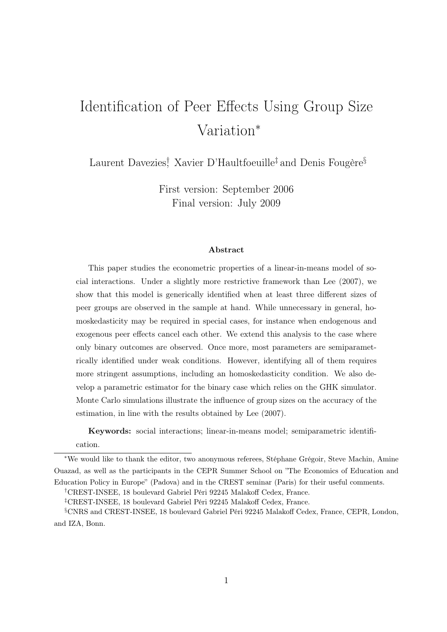# Identification of Peer Effects Using Group Size Variation<sup>∗</sup>

Laurent Davezies<sup>†</sup>, Xavier D'Haultfoeuille<sup>‡</sup> and Denis Fougère<sup>§</sup>

First version: September 2006 Final version: July 2009

#### Abstract

This paper studies the econometric properties of a linear-in-means model of social interactions. Under a slightly more restrictive framework than Lee (2007), we show that this model is generically identified when at least three different sizes of peer groups are observed in the sample at hand. While unnecessary in general, homoskedasticity may be required in special cases, for instance when endogenous and exogenous peer effects cancel each other. We extend this analysis to the case where only binary outcomes are observed. Once more, most parameters are semiparametrically identified under weak conditions. However, identifying all of them requires more stringent assumptions, including an homoskedasticity condition. We also develop a parametric estimator for the binary case which relies on the GHK simulator. Monte Carlo simulations illustrate the influence of group sizes on the accuracy of the estimation, in line with the results obtained by Lee (2007).

Keywords: social interactions; linear-in-means model; semiparametric identifi-

cation.

†CREST-INSEE, 18 boulevard Gabriel Péri 92245 Malakoff Cedex, France.

‡CREST-INSEE, 18 boulevard Gabriel Péri 92245 Malakoff Cedex, France.

<sup>∗</sup>We would like to thank the editor, two anonymous referees, Stéphane Grégoir, Steve Machin, Amine Ouazad, as well as the participants in the CEPR Summer School on "The Economics of Education and Education Policy in Europe" (Padova) and in the CREST seminar (Paris) for their useful comments.

<sup>§</sup>CNRS and CREST-INSEE, 18 boulevard Gabriel Péri 92245 Malakoff Cedex, France, CEPR, London, and IZA, Bonn.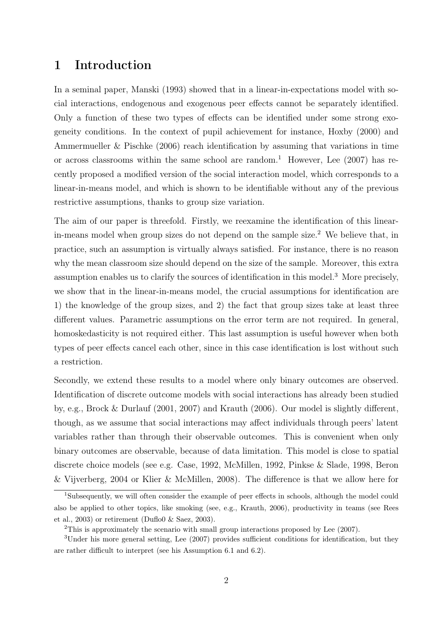# 1 Introduction

In a seminal paper, Manski (1993) showed that in a linear-in-expectations model with social interactions, endogenous and exogenous peer effects cannot be separately identified. Only a function of these two types of effects can be identified under some strong exogeneity conditions. In the context of pupil achievement for instance, Hoxby (2000) and Ammermueller & Pischke (2006) reach identification by assuming that variations in time or across classrooms within the same school are random.<sup>1</sup> However, Lee  $(2007)$  has recently proposed a modified version of the social interaction model, which corresponds to a linear-in-means model, and which is shown to be identifiable without any of the previous restrictive assumptions, thanks to group size variation.

The aim of our paper is threefold. Firstly, we reexamine the identification of this linearin-means model when group sizes do not depend on the sample size.<sup>2</sup> We believe that, in practice, such an assumption is virtually always satisfied. For instance, there is no reason why the mean classroom size should depend on the size of the sample. Moreover, this extra assumption enables us to clarify the sources of identification in this model.<sup>3</sup> More precisely, we show that in the linear-in-means model, the crucial assumptions for identification are 1) the knowledge of the group sizes, and 2) the fact that group sizes take at least three different values. Parametric assumptions on the error term are not required. In general, homoskedasticity is not required either. This last assumption is useful however when both types of peer effects cancel each other, since in this case identification is lost without such a restriction.

Secondly, we extend these results to a model where only binary outcomes are observed. Identification of discrete outcome models with social interactions has already been studied by, e.g., Brock & Durlauf (2001, 2007) and Krauth (2006). Our model is slightly different, though, as we assume that social interactions may affect individuals through peers' latent variables rather than through their observable outcomes. This is convenient when only binary outcomes are observable, because of data limitation. This model is close to spatial discrete choice models (see e.g. Case, 1992, McMillen, 1992, Pinkse & Slade, 1998, Beron & Vijverberg, 2004 or Klier & McMillen, 2008). The difference is that we allow here for

<sup>&</sup>lt;sup>1</sup>Subsequently, we will often consider the example of peer effects in schools, although the model could also be applied to other topics, like smoking (see, e.g., Krauth, 2006), productivity in teams (see Rees et al., 2003) or retirement (Duflo0 & Saez, 2003).

<sup>&</sup>lt;sup>2</sup>This is approximately the scenario with small group interactions proposed by Lee (2007).

<sup>3</sup>Under his more general setting, Lee (2007) provides sufficient conditions for identification, but they are rather difficult to interpret (see his Assumption 6.1 and 6.2).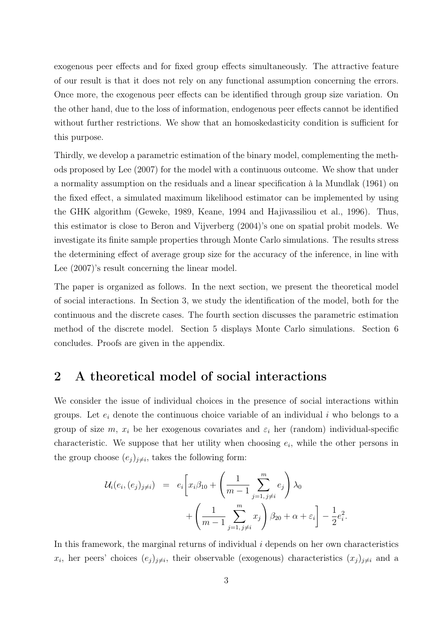exogenous peer effects and for fixed group effects simultaneously. The attractive feature of our result is that it does not rely on any functional assumption concerning the errors. Once more, the exogenous peer effects can be identified through group size variation. On the other hand, due to the loss of information, endogenous peer effects cannot be identified without further restrictions. We show that an homoskedasticity condition is sufficient for this purpose.

Thirdly, we develop a parametric estimation of the binary model, complementing the methods proposed by Lee (2007) for the model with a continuous outcome. We show that under a normality assumption on the residuals and a linear specification à la Mundlak (1961) on the fixed effect, a simulated maximum likelihood estimator can be implemented by using the GHK algorithm (Geweke, 1989, Keane, 1994 and Hajivassiliou et al., 1996). Thus, this estimator is close to Beron and Vijverberg (2004)'s one on spatial probit models. We investigate its finite sample properties through Monte Carlo simulations. The results stress the determining effect of average group size for the accuracy of the inference, in line with Lee (2007)'s result concerning the linear model.

The paper is organized as follows. In the next section, we present the theoretical model of social interactions. In Section 3, we study the identification of the model, both for the continuous and the discrete cases. The fourth section discusses the parametric estimation method of the discrete model. Section 5 displays Monte Carlo simulations. Section 6 concludes. Proofs are given in the appendix.

# 2 A theoretical model of social interactions

We consider the issue of individual choices in the presence of social interactions within groups. Let  $e_i$  denote the continuous choice variable of an individual i who belongs to a group of size m,  $x_i$  be her exogenous covariates and  $\varepsilon_i$  her (random) individual-specific characteristic. We suppose that her utility when choosing  $e_i$ , while the other persons in the group choose  $(e_j)_{j\neq i}$ , takes the following form:

$$
\mathcal{U}_{i}(e_{i}, (e_{j})_{j\neq i}) = e_{i} \left[ x_{i} \beta_{10} + \left( \frac{1}{m-1} \sum_{j=1, j \neq i}^{m} e_{j} \right) \lambda_{0} + \left( \frac{1}{m-1} \sum_{j=1, j \neq i}^{m} x_{j} \right) \beta_{20} + \alpha + \varepsilon_{i} \right] - \frac{1}{2} e_{i}^{2}.
$$

In this framework, the marginal returns of individual  $i$  depends on her own characteristics  $x_i$ , her peers' choices  $(e_j)_{j\neq i}$ , their observable (exogenous) characteristics  $(x_j)_{j\neq i}$  and a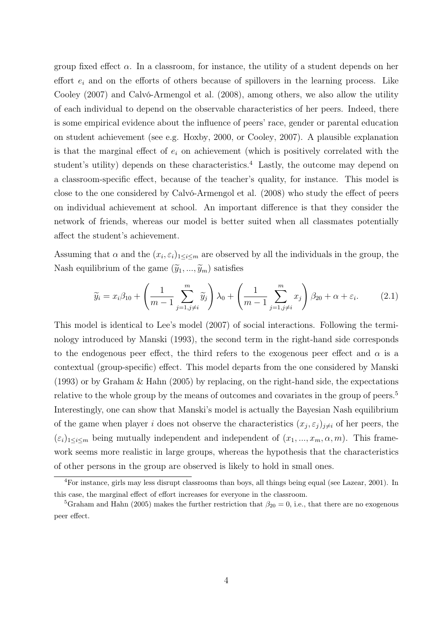group fixed effect  $\alpha$ . In a classroom, for instance, the utility of a student depends on her effort  $e_i$  and on the efforts of others because of spillovers in the learning process. Like Cooley (2007) and Calvó-Armengol et al. (2008), among others, we also allow the utility of each individual to depend on the observable characteristics of her peers. Indeed, there is some empirical evidence about the influence of peers' race, gender or parental education on student achievement (see e.g. Hoxby, 2000, or Cooley, 2007). A plausible explanation is that the marginal effect of  $e_i$  on achievement (which is positively correlated with the student's utility) depends on these characteristics.<sup>4</sup> Lastly, the outcome may depend on a classroom-specific effect, because of the teacher's quality, for instance. This model is close to the one considered by Calvó-Armengol et al. (2008) who study the effect of peers on individual achievement at school. An important difference is that they consider the network of friends, whereas our model is better suited when all classmates potentially affect the student's achievement.

Assuming that  $\alpha$  and the  $(x_i, \varepsilon_i)_{1 \leq i \leq m}$  are observed by all the individuals in the group, the Nash equilibrium of the game  $(\widetilde{y}_1,...,\widetilde{y}_m)$  satisfies

$$
\widetilde{y}_i = x_i \beta_{10} + \left(\frac{1}{m-1} \sum_{j=1, j \neq i}^m \widetilde{y}_j\right) \lambda_0 + \left(\frac{1}{m-1} \sum_{j=1, j \neq i}^m x_j\right) \beta_{20} + \alpha + \varepsilon_i. \tag{2.1}
$$

This model is identical to Lee's model (2007) of social interactions. Following the terminology introduced by Manski (1993), the second term in the right-hand side corresponds to the endogenous peer effect, the third refers to the exogenous peer effect and  $\alpha$  is a contextual (group-specific) effect. This model departs from the one considered by Manski (1993) or by Graham & Hahn (2005) by replacing, on the right-hand side, the expectations relative to the whole group by the means of outcomes and covariates in the group of peers.<sup>5</sup> Interestingly, one can show that Manski's model is actually the Bayesian Nash equilibrium of the game when player i does not observe the characteristics  $(x_j, \varepsilon_j)_{j\neq i}$  of her peers, the  $(\varepsilon_i)_{1\leq i\leq m}$  being mutually independent and independent of  $(x_1, ..., x_m, \alpha, m)$ . This framework seems more realistic in large groups, whereas the hypothesis that the characteristics of other persons in the group are observed is likely to hold in small ones.

<sup>4</sup>For instance, girls may less disrupt classrooms than boys, all things being equal (see Lazear, 2001). In this case, the marginal effect of effort increases for everyone in the classroom.

<sup>&</sup>lt;sup>5</sup>Graham and Hahn (2005) makes the further restriction that  $\beta_{20} = 0$ , i.e., that there are no exogenous peer effect.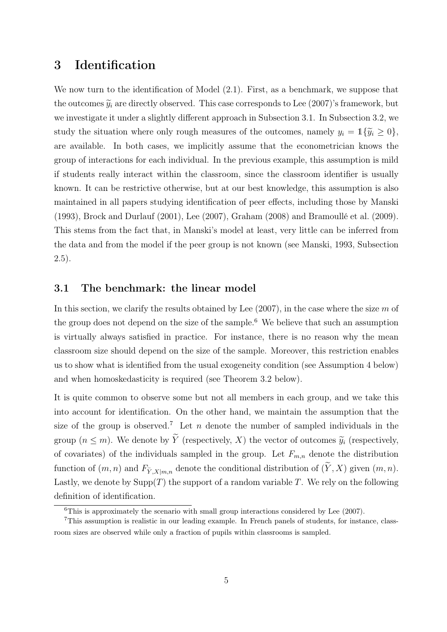# 3 Identification

We now turn to the identification of Model  $(2.1)$ . First, as a benchmark, we suppose that the outcomes  $\tilde{y}_i$  are directly observed. This case corresponds to Lee (2007)'s framework, but we investigate it under a slightly different approach in Subsection 3.1. In Subsection 3.2, we study the situation where only rough measures of the outcomes, namely  $y_i = \mathbb{1}\{\tilde{y}_i \geq 0\}$ , are available. In both cases, we implicitly assume that the econometrician knows the group of interactions for each individual. In the previous example, this assumption is mild if students really interact within the classroom, since the classroom identifier is usually known. It can be restrictive otherwise, but at our best knowledge, this assumption is also maintained in all papers studying identification of peer effects, including those by Manski (1993), Brock and Durlauf (2001), Lee (2007), Graham (2008) and Bramoullé et al. (2009). This stems from the fact that, in Manski's model at least, very little can be inferred from the data and from the model if the peer group is not known (see Manski, 1993, Subsection 2.5).

#### 3.1 The benchmark: the linear model

In this section, we clarify the results obtained by Lee  $(2007)$ , in the case where the size m of the group does not depend on the size of the sample.<sup>6</sup> We believe that such an assumption is virtually always satisfied in practice. For instance, there is no reason why the mean classroom size should depend on the size of the sample. Moreover, this restriction enables us to show what is identified from the usual exogeneity condition (see Assumption 4 below) and when homoskedasticity is required (see Theorem 3.2 below).

It is quite common to observe some but not all members in each group, and we take this into account for identification. On the other hand, we maintain the assumption that the size of the group is observed.<sup>7</sup> Let  $n$  denote the number of sampled individuals in the group  $(n \leq m)$ . We denote by  $\widetilde{Y}$  (respectively, X) the vector of outcomes  $\widetilde{y}_i$  (respectively, of covariates) of the individuals sampled in the group. Let  $F_{m,n}$  denote the distribution group  $(n \le m)$ . We denote by Y (respectively, X) the vector of outcomes  $\widetilde{y}_i$  (respectively, of covariates) of the individuals sampled in the group. Let  $F_{m,n}$  denote the distribution function of  $(m, n)$  and  $F_{\widetilde{Y$ Lastly, we denote by  $\text{Supp}(T)$  the support of a random variable T. We rely on the following definition of identification.

<sup>6</sup>This is approximately the scenario with small group interactions considered by Lee (2007).

<sup>7</sup>This assumption is realistic in our leading example. In French panels of students, for instance, classroom sizes are observed while only a fraction of pupils within classrooms is sampled.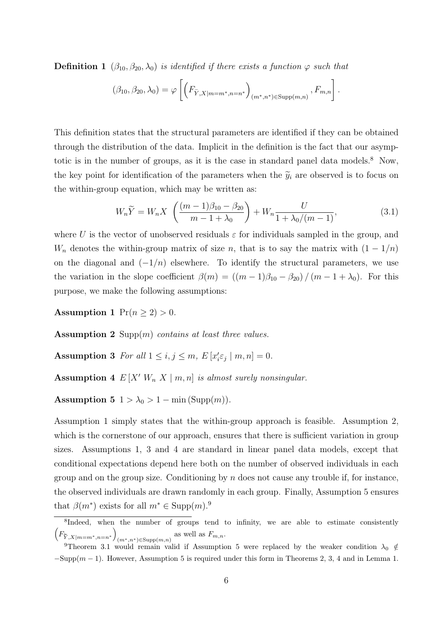**Definition 1** 
$$
(\beta_{10}, \beta_{20}, \lambda_0)
$$
 is identified if there exists a function  $\varphi$  such that  

$$
(\beta_{10}, \beta_{20}, \lambda_0) = \varphi \left[ \left( F_{\tilde{Y}, X|m=m^*, n=n^*} \right)_{(m^*, n^*) \in \text{Supp}(m,n)}, F_{m,n} \right].
$$

This definition states that the structural parameters are identified if they can be obtained through the distribution of the data. Implicit in the definition is the fact that our asymptotic is in the number of groups, as it is the case in standard panel data models.<sup>8</sup> Now, the key point for identification of the parameters when the  $\tilde{y}_i$  are observed is to focus on the within-group equation, which may be written as:

$$
W_n \widetilde{Y} = W_n X \left( \frac{(m-1)\beta_{10} - \beta_{20}}{m-1+\lambda_0} \right) + W_n \frac{U}{1+\lambda_0/(m-1)},
$$
\n(3.1)

where U is the vector of unobserved residuals  $\varepsilon$  for individuals sampled in the group, and  $W_n$  denotes the within-group matrix of size n, that is to say the matrix with  $(1 - 1/n)$ on the diagonal and  $(-1/n)$  elsewhere. To identify the structural parameters, we use the variation in the slope coefficient  $\beta(m) = ((m-1)\beta_{10} - \beta_{20})/(m-1+\lambda_0)$ . For this purpose, we make the following assumptions:

Assumption 1  $Pr(n \geq 2) > 0$ .

Assumption 2 Supp $(m)$  contains at least three values.

Assumption 3 For all  $1 \le i, j \le m, E[x'_i \varepsilon_j | m, n] = 0$ .

**Assumption 4**  $E[X' W_n X | m, n]$  is almost surely nonsingular.

Assumption 5  $1 > \lambda_0 > 1 - \min(\text{Supp}(m)).$ 

Assumption 1 simply states that the within-group approach is feasible. Assumption 2, which is the cornerstone of our approach, ensures that there is sufficient variation in group sizes. Assumptions 1, 3 and 4 are standard in linear panel data models, except that conditional expectations depend here both on the number of observed individuals in each group and on the group size. Conditioning by  $n$  does not cause any trouble if, for instance, the observed individuals are drawn randomly in each group. Finally, Assumption 5 ensures that  $\beta(m^*)$  exists for all  $m^* \in \text{Supp}(m)$ .<sup>9</sup>

<sup>&</sup>lt;sup>8</sup>Indeed, when the number of groups tend to infinity, we are able to estimate consistently  $\left(F_{\sim}\right)$  $\frac{8 \text{Indeed, where}}{8 \text{Indeed, where}}$  $(m^*, n^*) \in \text{Supp}(m,n)$  as well as  $F_{m,n}$ .

<sup>&</sup>lt;sup>9</sup>Theorem 3.1 would remain valid if Assumption 5 were replaced by the weaker condition  $\lambda_0 \notin$  $-\text{Supp}(m-1)$ . However, Assumption 5 is required under this form in Theorems 2, 3, 4 and in Lemma 1.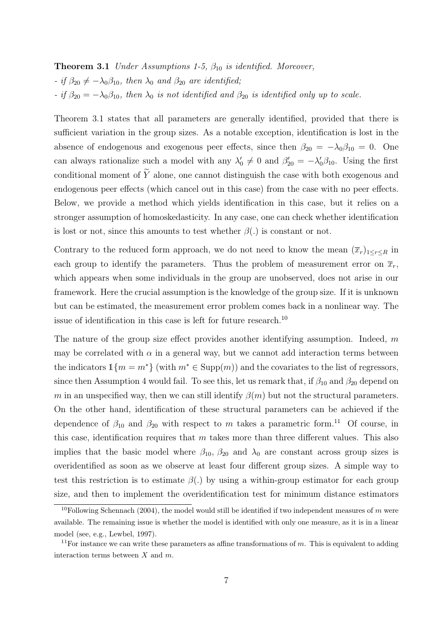**Theorem 3.1** Under Assumptions 1-5,  $\beta_{10}$  is identified. Moreover, - if  $\beta_{20} \neq -\lambda_0\beta_{10}$ , then  $\lambda_0$  and  $\beta_{20}$  are identified; - if  $\beta_{20} = -\lambda_0 \beta_{10}$ , then  $\lambda_0$  is not identified and  $\beta_{20}$  is identified only up to scale.

Theorem 3.1 states that all parameters are generally identified, provided that there is sufficient variation in the group sizes. As a notable exception, identification is lost in the absence of endogenous and exogenous peer effects, since then  $\beta_{20} = -\lambda_0 \beta_{10} = 0$ . One can always rationalize such a model with any  $\lambda'_0 \neq 0$  and  $\beta'_{20} = -\lambda'_0 \beta_{10}$ . Using the first conditional moment of  $\widetilde{Y}$  alone, one cannot distinguish the case with both exogenous and endogenous peer effects (which cancel out in this case) from the case with no peer effects. Below, we provide a method which yields identification in this case, but it relies on a stronger assumption of homoskedasticity. In any case, one can check whether identification is lost or not, since this amounts to test whether  $\beta(.)$  is constant or not.

Contrary to the reduced form approach, we do not need to know the mean  $(\overline{x}_r)_{1\leq r\leq R}$  in each group to identify the parameters. Thus the problem of measurement error on  $\bar{x}_r$ , which appears when some individuals in the group are unobserved, does not arise in our framework. Here the crucial assumption is the knowledge of the group size. If it is unknown but can be estimated, the measurement error problem comes back in a nonlinear way. The issue of identification in this case is left for future research.<sup>10</sup>

The nature of the group size effect provides another identifying assumption. Indeed,  $m$ may be correlated with  $\alpha$  in a general way, but we cannot add interaction terms between the indicators  $\mathbb{1}{m = m^*}$  (with  $m^* \in \text{Supp}(m)$ ) and the covariates to the list of regressors, since then Assumption 4 would fail. To see this, let us remark that, if  $\beta_{10}$  and  $\beta_{20}$  depend on m in an unspecified way, then we can still identify  $\beta(m)$  but not the structural parameters. On the other hand, identification of these structural parameters can be achieved if the dependence of  $\beta_{10}$  and  $\beta_{20}$  with respect to m takes a parametric form.<sup>11</sup> Of course, in this case, identification requires that  $m$  takes more than three different values. This also implies that the basic model where  $\beta_{10}$ ,  $\beta_{20}$  and  $\lambda_0$  are constant across group sizes is overidentified as soon as we observe at least four different group sizes. A simple way to test this restriction is to estimate  $\beta(.)$  by using a within-group estimator for each group size, and then to implement the overidentification test for minimum distance estimators

<sup>&</sup>lt;sup>10</sup>Following Schennach (2004), the model would still be identified if two independent measures of m were available. The remaining issue is whether the model is identified with only one measure, as it is in a linear model (see, e.g., Lewbel, 1997).

<sup>&</sup>lt;sup>11</sup>For instance we can write these parameters as affine transformations of  $m$ . This is equivalent to adding interaction terms between  $X$  and  $m$ .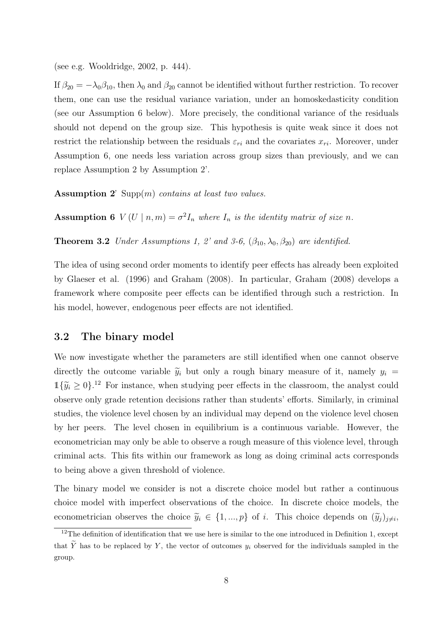(see e.g. Wooldridge, 2002, p. 444).

If  $\beta_{20} = -\lambda_0\beta_{10}$ , then  $\lambda_0$  and  $\beta_{20}$  cannot be identified without further restriction. To recover them, one can use the residual variance variation, under an homoskedasticity condition (see our Assumption 6 below). More precisely, the conditional variance of the residuals should not depend on the group size. This hypothesis is quite weak since it does not restrict the relationship between the residuals  $\varepsilon_{ri}$  and the covariates  $x_{ri}$ . Moreover, under Assumption 6, one needs less variation across group sizes than previously, and we can replace Assumption 2 by Assumption 2'.

**Assumption 2'** Supp $(m)$  contains at least two values.

**Assumption 6**  $V(U | n,m) = \sigma^2 I_n$  where  $I_n$  is the identity matrix of size n.

**Theorem 3.2** Under Assumptions 1, 2' and 3-6,  $(\beta_{10}, \lambda_0, \beta_{20})$  are identified.

The idea of using second order moments to identify peer effects has already been exploited by Glaeser et al. (1996) and Graham (2008). In particular, Graham (2008) develops a framework where composite peer effects can be identified through such a restriction. In his model, however, endogenous peer effects are not identified.

#### 3.2 The binary model

We now investigate whether the parameters are still identified when one cannot observe directly the outcome variable  $\tilde{y}_i$  but only a rough binary measure of it, namely  $y_i =$  $1{\{\tilde{y}_i \geq 0\}}$ .<sup>12</sup> For instance, when studying peer effects in the classroom, the analyst could observe only grade retention decisions rather than students' efforts. Similarly, in criminal studies, the violence level chosen by an individual may depend on the violence level chosen by her peers. The level chosen in equilibrium is a continuous variable. However, the econometrician may only be able to observe a rough measure of this violence level, through criminal acts. This fits within our framework as long as doing criminal acts corresponds to being above a given threshold of violence.

The binary model we consider is not a discrete choice model but rather a continuous choice model with imperfect observations of the choice. In discrete choice models, the econometrician observes the choice  $\tilde{y}_i \in \{1, ..., p\}$  of *i*. This choice depends on  $(\tilde{y}_j)_{j \neq i}$ ,

 $12$ The definition of identification that we use here is similar to the one introduced in Definition 1, except that  $\widetilde{Y}$  has to be replaced by Y, the vector of outcomes  $y_i$  observed for the individuals sampled in the group.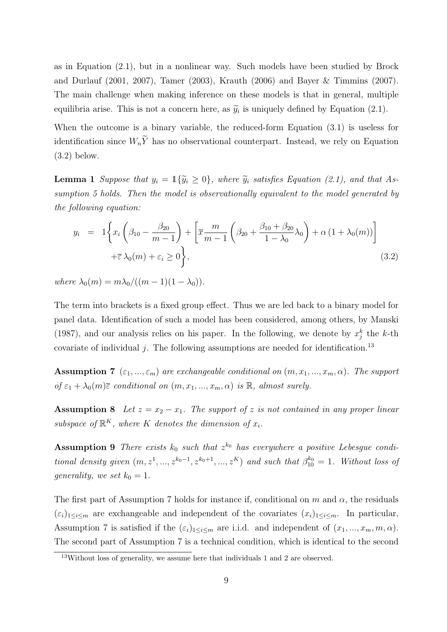as in Equation (2.1), but in a nonlinear way. Such models have been studied by Brock and Durlauf (2001, 2007), Tamer (2003), Krauth (2006) and Bayer & Timmins (2007). The main challenge when making inference on these models is that in general, multiple equilibria arise. This is not a concern here, as  $\tilde{y}_i$  is uniquely defined by Equation (2.1).

When the outcome is a binary variable, the reduced-form Equation (3.1) is useless for identification since  $W_n\widetilde{Y}$  has no observational counterpart. Instead, we rely on Equation (3.2) below.

**Lemma 1** Suppose that  $y_i = \mathbb{1}\{\widetilde{y}_i \geq 0\}$ , where  $\widetilde{y}_i$  satisfies Equation (2.1), and that Assumption 5 holds. Then the model is observationally equivalent to the model generated by the following equation:

$$
y_i = 1\left\{x_i\left(\beta_{10} - \frac{\beta_{20}}{m-1}\right) + \left[\overline{x}\frac{m}{m-1}\left(\beta_{20} + \frac{\beta_{10} + \beta_{20}}{1-\lambda_0}\lambda_0\right) + \alpha\left(1+\lambda_0(m)\right)\right] + \overline{\varepsilon}\lambda_0(m) + \varepsilon_i \ge 0\right\},\tag{3.2}
$$

where  $\lambda_0(m) = m \lambda_0/((m-1)(1-\lambda_0)).$ 

The term into brackets is a fixed group effect. Thus we are led back to a binary model for panel data. Identification of such a model has been considered, among others, by Manski (1987), and our analysis relies on his paper. In the following, we denote by  $x_j^k$  the k-th covariate of individual j. The following assumptions are needed for identification.<sup>13</sup>

**Assumption 7**  $(\varepsilon_1, ..., \varepsilon_m)$  are exchangeable conditional on  $(m, x_1, ..., x_m, \alpha)$ . The support of  $\varepsilon_1 + \lambda_0(m)\bar{\varepsilon}$  conditional on  $(m, x_1, ..., x_m, \alpha)$  is  $\mathbb{R}$ , almost surely.

**Assumption 8** Let  $z = x_2 - x_1$ . The support of z is not contained in any proper linear subspace of  $\mathbb{R}^K$ , where K denotes the dimension of  $x_i$ .

**Assumption 9** There exists  $k_0$  such that  $z^{k_0}$  has everywhere a positive Lebesgue conditional density given  $(m, z^1, ..., z^{k_0-1}, z^{k_0+1}, ..., z^K)$  and such that  $\beta_{10}^{k_0} = 1$ . Without loss of generality, we set  $k_0 = 1$ .

The first part of Assumption 7 holds for instance if, conditional on m and  $\alpha$ , the residuals  $(\varepsilon_i)_{1\leq i\leq m}$  are exchangeable and independent of the covariates  $(x_i)_{1\leq i\leq m}$ . In particular, Assumption 7 is satisfied if the  $(\varepsilon_i)_{1\leq i\leq m}$  are i.i.d. and independent of  $(x_1, ..., x_m, m, \alpha)$ . The second part of Assumption 7 is a technical condition, which is identical to the second

<sup>&</sup>lt;sup>13</sup>Without loss of generality, we assume here that individuals 1 and 2 are observed.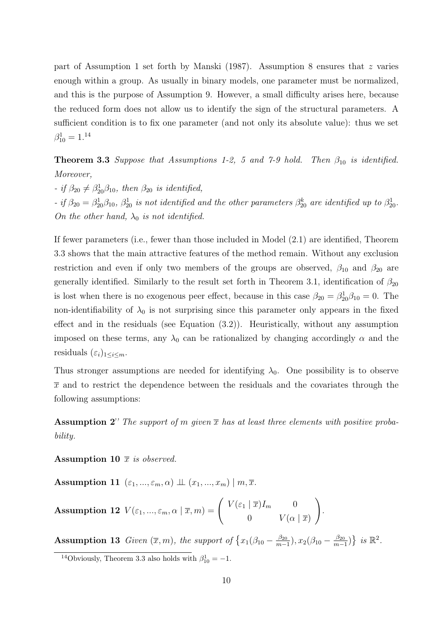part of Assumption 1 set forth by Manski (1987). Assumption 8 ensures that  $z$  varies enough within a group. As usually in binary models, one parameter must be normalized, and this is the purpose of Assumption 9. However, a small difficulty arises here, because the reduced form does not allow us to identify the sign of the structural parameters. A sufficient condition is to fix one parameter (and not only its absolute value): thus we set  $\beta_{10}^1 = 1.^{14}$ 

**Theorem 3.3** Suppose that Assumptions 1-2, 5 and 7-9 hold. Then  $\beta_{10}$  is identified. Moreover,

- if  $\beta_{20} \neq \beta_{20}^1 \beta_{10}$ , then  $\beta_{20}$  is identified, - if  $\beta_{20} = \beta_{20}^1 \beta_{10}$ ,  $\beta_{20}^1$  is not identified and the other parameters  $\beta_{20}^k$  are identified up to  $\beta_{20}^1$ . On the other hand,  $\lambda_0$  is not identified.

If fewer parameters (i.e., fewer than those included in Model (2.1) are identified, Theorem 3.3 shows that the main attractive features of the method remain. Without any exclusion restriction and even if only two members of the groups are observed,  $\beta_{10}$  and  $\beta_{20}$  are generally identified. Similarly to the result set forth in Theorem 3.1, identification of  $\beta_{20}$ is lost when there is no exogenous peer effect, because in this case  $\beta_{20} = \beta_{20}^1 \beta_{10} = 0$ . The non-identifiability of  $\lambda_0$  is not surprising since this parameter only appears in the fixed effect and in the residuals (see Equation (3.2)). Heuristically, without any assumption imposed on these terms, any  $\lambda_0$  can be rationalized by changing accordingly  $\alpha$  and the residuals  $(\varepsilon_i)_{1\leq i\leq m}$ .

Thus stronger assumptions are needed for identifying  $\lambda_0$ . One possibility is to observe  $\bar{x}$  and to restrict the dependence between the residuals and the covariates through the following assumptions:

**Assumption 2''** The support of m given  $\bar{x}$  has at least three elements with positive probability.

Assumption 10  $\bar{x}$  is observed.

Assumption 11  $(\varepsilon_1, ..., \varepsilon_m, \alpha) \perp (x_1, ..., x_m) \mid m, \overline{x}.$ 

**Assumption 12** 
$$
V(\varepsilon_1, ..., \varepsilon_m, \alpha | \overline{x}, m) = \begin{pmatrix} V(\varepsilon_1 | \overline{x}) I_m & 0 \\ 0 & V(\alpha | \overline{x}) \end{pmatrix}.
$$

**Assumption 13** Given  $(\bar{x}, m)$ , the support of  $\{x_1(\beta_{10} - \frac{\beta_{20}}{m-1})\}$  $\frac{\beta_{20}}{m-1}$ ),  $x_2(\beta_{10} - \frac{\beta_{20}}{m-1})$  $\frac{\beta_{20}}{m-1}$ ) } is  $\mathbb{R}^2$ .

<sup>&</sup>lt;sup>14</sup>Obviously, Theorem 3.3 also holds with  $\beta_{10}^1 = -1$ .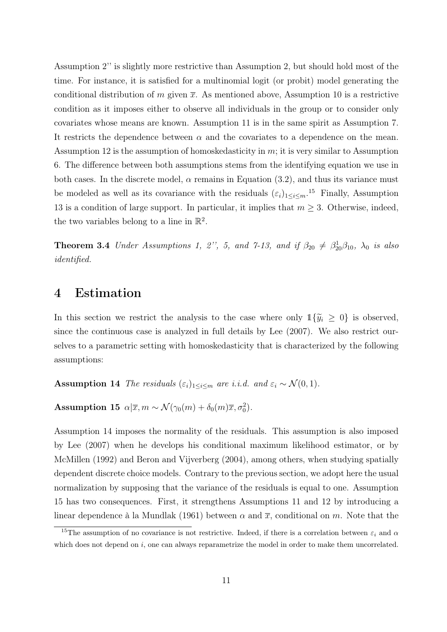Assumption 2'' is slightly more restrictive than Assumption 2, but should hold most of the time. For instance, it is satisfied for a multinomial logit (or probit) model generating the conditional distribution of m given  $\bar{x}$ . As mentioned above, Assumption 10 is a restrictive condition as it imposes either to observe all individuals in the group or to consider only covariates whose means are known. Assumption 11 is in the same spirit as Assumption 7. It restricts the dependence between  $\alpha$  and the covariates to a dependence on the mean. Assumption 12 is the assumption of homoskedasticity in  $m$ ; it is very similar to Assumption 6. The difference between both assumptions stems from the identifying equation we use in both cases. In the discrete model,  $\alpha$  remains in Equation (3.2), and thus its variance must be modeled as well as its covariance with the residuals  $(\varepsilon_i)_{1 \leq i \leq m}$ .<sup>15</sup> Finally, Assumption 13 is a condition of large support. In particular, it implies that  $m \geq 3$ . Otherwise, indeed, the two variables belong to a line in  $\mathbb{R}^2$ .

**Theorem 3.4** Under Assumptions 1, 2", 5, and 7-13, and if  $\beta_{20} \neq \beta_{20}^1 \beta_{10}$ ,  $\lambda_0$  is also identified.

### 4 Estimation

In this section we restrict the analysis to the case where only  $\mathbb{1}\{\widetilde{y}_i \geq 0\}$  is observed, since the continuous case is analyzed in full details by Lee (2007). We also restrict ourselves to a parametric setting with homoskedasticity that is characterized by the following assumptions:

Assumption 14 The residuals  $(\varepsilon_i)_{1\leq i\leq m}$  are i.i.d. and  $\varepsilon_i \sim \mathcal{N}(0, 1)$ .

Assumption 15  $\alpha|\bar{x}, m \sim \mathcal{N}(\gamma_0(m) + \delta_0(m)\bar{x}, \sigma_0^2)$ .

Assumption 14 imposes the normality of the residuals. This assumption is also imposed by Lee (2007) when he develops his conditional maximum likelihood estimator, or by McMillen (1992) and Beron and Vijverberg (2004), among others, when studying spatially dependent discrete choice models. Contrary to the previous section, we adopt here the usual normalization by supposing that the variance of the residuals is equal to one. Assumption 15 has two consequences. First, it strengthens Assumptions 11 and 12 by introducing a linear dependence à la Mundlak (1961) between  $\alpha$  and  $\bar{x}$ , conditional on m. Note that the

<sup>&</sup>lt;sup>15</sup>The assumption of no covariance is not restrictive. Indeed, if there is a correlation between  $\varepsilon_i$  and  $\alpha$ which does not depend on  $i$ , one can always reparametrize the model in order to make them uncorrelated.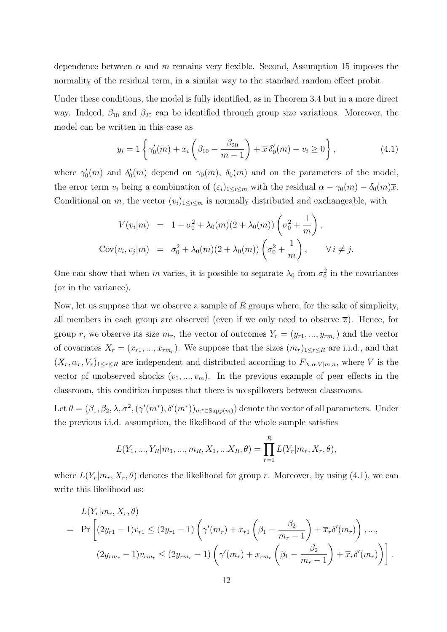dependence between  $\alpha$  and m remains very flexible. Second, Assumption 15 imposes the normality of the residual term, in a similar way to the standard random effect probit.

Under these conditions, the model is fully identified, as in Theorem 3.4 but in a more direct way. Indeed,  $\beta_{10}$  and  $\beta_{20}$  can be identified through group size variations. Moreover, the model can be written in this case as

$$
y_i = 1 \left\{ \gamma'_0(m) + x_i \left( \beta_{10} - \frac{\beta_{20}}{m - 1} \right) + \overline{x} \, \delta'_0(m) - v_i \ge 0 \right\},\tag{4.1}
$$

where  $\gamma'_0(m)$  and  $\delta'_0(m)$  depend on  $\gamma_0(m)$ ,  $\delta_0(m)$  and on the parameters of the model, the error term  $v_i$  being a combination of  $(\varepsilon_i)_{1\leq i\leq m}$  with the residual  $\alpha - \gamma_0(m) - \delta_0(m)\overline{x}$ . Conditional on m, the vector  $(v_i)_{1 \leq i \leq m}$  is normally distributed and exchangeable, with

$$
V(v_i|m) = 1 + \sigma_0^2 + \lambda_0(m)(2 + \lambda_0(m)) \left(\sigma_0^2 + \frac{1}{m}\right),
$$
  
\n
$$
Cov(v_i, v_j|m) = \sigma_0^2 + \lambda_0(m)(2 + \lambda_0(m)) \left(\sigma_0^2 + \frac{1}{m}\right), \quad \forall i \neq j.
$$

One can show that when m varies, it is possible to separate  $\lambda_0$  from  $\sigma_0^2$  in the covariances (or in the variance).

Now, let us suppose that we observe a sample of  $R$  groups where, for the sake of simplicity, all members in each group are observed (even if we only need to observe  $\bar{x}$ ). Hence, for group r, we observe its size  $m_r$ , the vector of outcomes  $Y_r = (y_{r1},...,y_{rmr})$  and the vector of covariates  $X_r = (x_{r1},...,x_{rmr})$ . We suppose that the sizes  $(m_r)_{1 \leq r \leq R}$  are i.i.d., and that  $(X_r, \alpha_r, V_r)_{1 \leq r \leq R}$  are independent and distributed according to  $F_{X,\alpha,V|m,n}$ , where V is the vector of unobserved shocks  $(v_1, ..., v_m)$ . In the previous example of peer effects in the classroom, this condition imposes that there is no spillovers between classrooms.

Let  $\theta = (\beta_1, \beta_2, \lambda, \sigma^2, (\gamma'(m^*), \delta'(m^*))_{m^* \in \text{Supp}(m)})$  denote the vector of all parameters. Under the previous i.i.d. assumption, the likelihood of the whole sample satisfies

$$
L(Y_1, ..., Y_R|m_1, ..., m_R, X_1, ... X_R, \theta) = \prod_{r=1}^R L(Y_r|m_r, X_r, \theta),
$$

where  $L(Y_r|m_r, X_r, \theta)$  denotes the likelihood for group r. Moreover, by using (4.1), we can write this likelihood as:

$$
L(Y_r|m_r, X_r, \theta)
$$
  
=  $\Pr \left[ (2y_{r1} - 1)v_{r1} \le (2y_{r1} - 1) \left( \gamma'(m_r) + x_{r1} \left( \beta_1 - \frac{\beta_2}{m_r - 1} \right) + \overline{x}_r \delta'(m_r) \right), ...,$   

$$
(2y_{rm_r} - 1)v_{rm_r} \le (2y_{rm_r} - 1) \left( \gamma'(m_r) + x_{rm_r} \left( \beta_1 - \frac{\beta_2}{m_r - 1} \right) + \overline{x}_r \delta'(m_r) \right) \right].
$$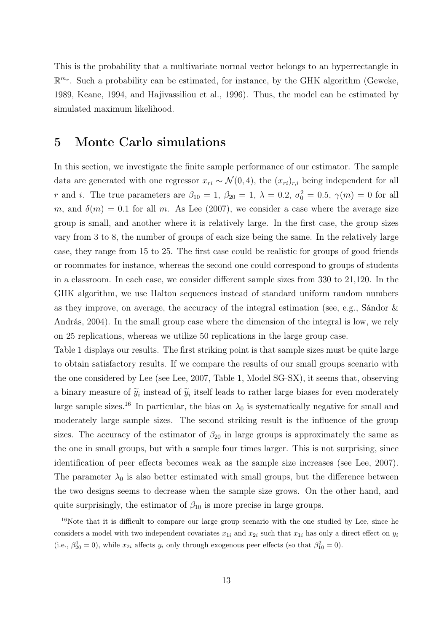This is the probability that a multivariate normal vector belongs to an hyperrectangle in  $\mathbb{R}^{m_r}$ . Such a probability can be estimated, for instance, by the GHK algorithm (Geweke, 1989, Keane, 1994, and Hajivassiliou et al., 1996). Thus, the model can be estimated by simulated maximum likelihood.

## 5 Monte Carlo simulations

In this section, we investigate the finite sample performance of our estimator. The sample data are generated with one regressor  $x_{ri} \sim \mathcal{N}(0, 4)$ , the  $(x_{ri})_{r,i}$  being independent for all r and i. The true parameters are  $\beta_{10} = 1, \beta_{20} = 1, \lambda = 0.2, \sigma_0^2 = 0.5, \gamma(m) = 0$  for all m, and  $\delta(m) = 0.1$  for all m. As Lee (2007), we consider a case where the average size group is small, and another where it is relatively large. In the first case, the group sizes vary from 3 to 8, the number of groups of each size being the same. In the relatively large case, they range from 15 to 25. The first case could be realistic for groups of good friends or roommates for instance, whereas the second one could correspond to groups of students in a classroom. In each case, we consider different sample sizes from 330 to 21,120. In the GHK algorithm, we use Halton sequences instead of standard uniform random numbers as they improve, on average, the accuracy of the integral estimation (see, e.g., Sándor & András, 2004). In the small group case where the dimension of the integral is low, we rely on 25 replications, whereas we utilize 50 replications in the large group case.

Table 1 displays our results. The first striking point is that sample sizes must be quite large to obtain satisfactory results. If we compare the results of our small groups scenario with the one considered by Lee (see Lee, 2007, Table 1, Model SG-SX), it seems that, observing a binary measure of  $\widetilde{y}_i$  instead of  $\widetilde{y}_i$  itself leads to rather large biases for even moderately large sample sizes.<sup>16</sup> In particular, the bias on  $\lambda_0$  is systematically negative for small and moderately large sample sizes. The second striking result is the influence of the group sizes. The accuracy of the estimator of  $\beta_{20}$  in large groups is approximately the same as the one in small groups, but with a sample four times larger. This is not surprising, since identification of peer effects becomes weak as the sample size increases (see Lee, 2007). The parameter  $\lambda_0$  is also better estimated with small groups, but the difference between the two designs seems to decrease when the sample size grows. On the other hand, and quite surprisingly, the estimator of  $\beta_{10}$  is more precise in large groups.

<sup>&</sup>lt;sup>16</sup>Note that it is difficult to compare our large group scenario with the one studied by Lee, since he considers a model with two independent covariates  $x_{1i}$  and  $x_{2i}$  such that  $x_{1i}$  has only a direct effect on  $y_i$ (i.e.,  $\beta_{20}^1 = 0$ ), while  $x_{2i}$  affects  $y_i$  only through exogenous peer effects (so that  $\beta_{10}^2 = 0$ ).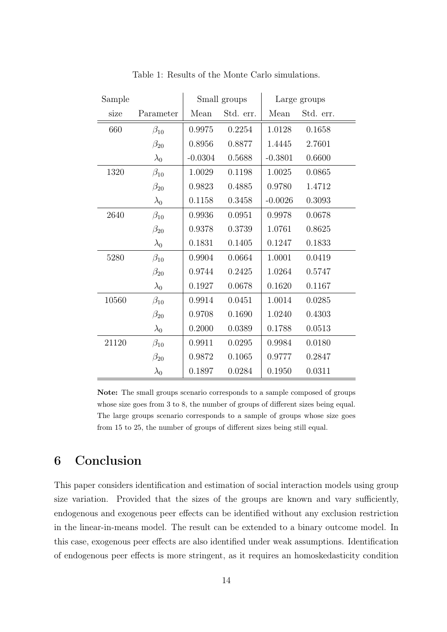| Sample |              | Small groups |           | Large groups |           |
|--------|--------------|--------------|-----------|--------------|-----------|
| size   | Parameter    | Mean         | Std. err. | Mean         | Std. err. |
| 660    | $\beta_{10}$ | 0.9975       | 0.2254    | 1.0128       | 0.1658    |
|        | $\beta_{20}$ | 0.8956       | 0.8877    | 1.4445       | 2.7601    |
|        | $\lambda_0$  | $-0.0304$    | 0.5688    | $-0.3801$    | 0.6600    |
| 1320   | $\beta_{10}$ | 1.0029       | 0.1198    | 1.0025       | 0.0865    |
|        | $\beta_{20}$ | 0.9823       | 0.4885    | 0.9780       | 1.4712    |
|        | $\lambda_0$  | 0.1158       | 0.3458    | $-0.0026$    | 0.3093    |
| 2640   | $\beta_{10}$ | 0.9936       | 0.0951    | 0.9978       | 0.0678    |
|        | $\beta_{20}$ | 0.9378       | 0.3739    | 1.0761       | 0.8625    |
|        | $\lambda_0$  | 0.1831       | 0.1405    | 0.1247       | 0.1833    |
| 5280   | $\beta_{10}$ | 0.9904       | 0.0664    | 1.0001       | 0.0419    |
|        | $\beta_{20}$ | 0.9744       | 0.2425    | 1.0264       | 0.5747    |
|        | $\lambda_0$  | 0.1927       | 0.0678    | 0.1620       | 0.1167    |
| 10560  | $\beta_{10}$ | 0.9914       | 0.0451    | 1.0014       | 0.0285    |
|        | $\beta_{20}$ | 0.9708       | 0.1690    | 1.0240       | 0.4303    |
|        | $\lambda_0$  | 0.2000       | 0.0389    | 0.1788       | 0.0513    |
| 21120  | $\beta_{10}$ | 0.9911       | 0.0295    | 0.9984       | 0.0180    |
|        | $\beta_{20}$ | 0.9872       | 0.1065    | 0.9777       | 0.2847    |
|        | $\lambda_0$  | 0.1897       | 0.0284    | 0.1950       | 0.0311    |

Table 1: Results of the Monte Carlo simulations.

Note: The small groups scenario corresponds to a sample composed of groups whose size goes from 3 to 8, the number of groups of different sizes being equal. The large groups scenario corresponds to a sample of groups whose size goes from 15 to 25, the number of groups of different sizes being still equal.

# 6 Conclusion

This paper considers identification and estimation of social interaction models using group size variation. Provided that the sizes of the groups are known and vary sufficiently, endogenous and exogenous peer effects can be identified without any exclusion restriction in the linear-in-means model. The result can be extended to a binary outcome model. In this case, exogenous peer effects are also identified under weak assumptions. Identification of endogenous peer effects is more stringent, as it requires an homoskedasticity condition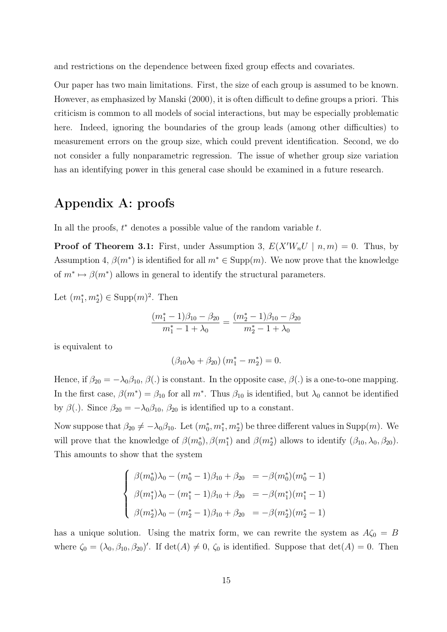and restrictions on the dependence between fixed group effects and covariates.

Our paper has two main limitations. First, the size of each group is assumed to be known. However, as emphasized by Manski (2000), it is often difficult to define groups a priori. This criticism is common to all models of social interactions, but may be especially problematic here. Indeed, ignoring the boundaries of the group leads (among other difficulties) to measurement errors on the group size, which could prevent identification. Second, we do not consider a fully nonparametric regression. The issue of whether group size variation has an identifying power in this general case should be examined in a future research.

## Appendix A: proofs

In all the proofs,  $t^*$  denotes a possible value of the random variable  $t$ .

**Proof of Theorem 3.1:** First, under Assumption 3,  $E(X'W_nU \mid n,m) = 0$ . Thus, by Assumption 4,  $\beta(m^*)$  is identified for all  $m^* \in \text{Supp}(m)$ . We now prove that the knowledge of  $m^* \mapsto \beta(m^*)$  allows in general to identify the structural parameters.

Let  $(m_1^*, m_2^*) \in \text{Supp}(m)^2$ . Then

$$
\frac{(m_1^*-1)\beta_{10}-\beta_{20}}{m_1^*-1+\lambda_0}=\frac{(m_2^*-1)\beta_{10}-\beta_{20}}{m_2^*-1+\lambda_0}
$$

is equivalent to

$$
(\beta_{10}\lambda_0 + \beta_{20}) (m_1^* - m_2^*) = 0.
$$

Hence, if  $\beta_{20} = -\lambda_0\beta_{10}$ ,  $\beta(.)$  is constant. In the opposite case,  $\beta(.)$  is a one-to-one mapping. In the first case,  $\beta(m^*) = \beta_{10}$  for all  $m^*$ . Thus  $\beta_{10}$  is identified, but  $\lambda_0$  cannot be identified by  $\beta$ (.). Since  $\beta_{20} = -\lambda_0 \beta_{10}$ ,  $\beta_{20}$  is identified up to a constant.

Now suppose that  $\beta_{20} \neq -\lambda_0 \beta_{10}$ . Let  $(m_0^*, m_1^*, m_2^*)$  be three different values in Supp $(m)$ . We will prove that the knowledge of  $\beta(m_0^*), \beta(m_1^*)$  and  $\beta(m_2^*)$  allows to identify  $(\beta_{10}, \lambda_0, \beta_{20})$ . This amounts to show that the system

$$
\begin{cases}\n\beta(m_0^*)\lambda_0 - (m_0^* - 1)\beta_{10} + \beta_{20} = -\beta(m_0^*)(m_0^* - 1) \\
\beta(m_1^*)\lambda_0 - (m_1^* - 1)\beta_{10} + \beta_{20} = -\beta(m_1^*)(m_1^* - 1) \\
\beta(m_2^*)\lambda_0 - (m_2^* - 1)\beta_{10} + \beta_{20} = -\beta(m_2^*)(m_2^* - 1)\n\end{cases}
$$

has a unique solution. Using the matrix form, we can rewrite the system as  $A\zeta_0 = B$ where  $\zeta_0 = (\lambda_0, \beta_{10}, \beta_{20})'$ . If  $\det(A) \neq 0$ ,  $\zeta_0$  is identified. Suppose that  $\det(A) = 0$ . Then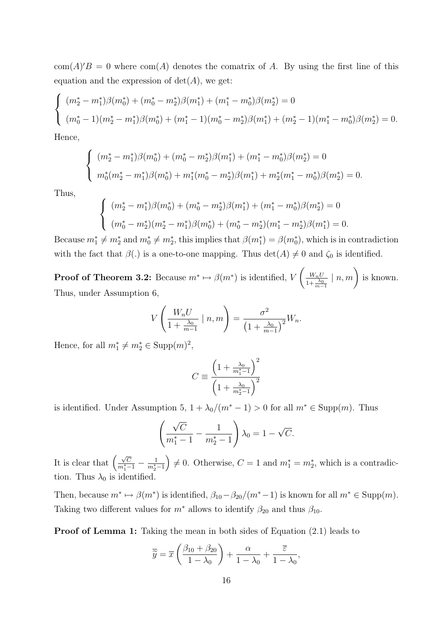$\text{com}(A)'B = 0$  where  $\text{com}(A)$  denotes the comatrix of A. By using the first line of this equation and the expression of  $det(A)$ , we get:

$$
\begin{cases}\n(m_2^* - m_1^*)\beta(m_0^*) + (m_0^* - m_2^*)\beta(m_1^*) + (m_1^* - m_0^*)\beta(m_2^*) = 0 \\
(m_0^* - 1)(m_2^* - m_1^*)\beta(m_0^*) + (m_1^* - 1)(m_0^* - m_2^*)\beta(m_1^*) + (m_2^* - 1)(m_1^* - m_0^*)\beta(m_2^*) = 0.\n\end{cases}
$$

Hence,

$$
\begin{cases}\n(m_2^* - m_1^*)\beta(m_0^*) + (m_0^* - m_2^*)\beta(m_1^*) + (m_1^* - m_0^*)\beta(m_2^*) = 0 \\
m_0^*(m_2^* - m_1^*)\beta(m_0^*) + m_1^*(m_0^* - m_2^*)\beta(m_1^*) + m_2^*(m_1^* - m_0^*)\beta(m_2^*) = 0.\n\end{cases}
$$

Thus,

$$
\begin{cases}\n(m_2^* - m_1^*)\beta(m_0^*) + (m_0^* - m_2^*)\beta(m_1^*) + (m_1^* - m_0^*)\beta(m_2^*) = 0 \\
(m_0^* - m_2^*)(m_2^* - m_1^*)\beta(m_0^*) + (m_0^* - m_2^*)(m_1^* - m_2^*)\beta(m_1^*) = 0.\n\end{cases}
$$

Because  $m_1^* \neq m_2^*$  and  $m_0^* \neq m_2^*$ , this implies that  $\beta(m_1^*) = \beta(m_0^*)$ , which is in contradiction with the fact that  $\beta(.)$  is a one-to-one mapping. Thus  $\det(A) \neq 0$  and  $\zeta_0$  is identified.

**Proof of Theorem 3.2:** Because  $m^* \mapsto \beta(m^*)$  is identified, V  $\int \underline{W_n U}$  $1+\frac{\lambda_0}{m-1}$  $\mid n,m\rangle$  is known. Thus, under Assumption 6,

$$
V\left(\frac{W_n U}{1 + \frac{\lambda_0}{m-1}} \mid n, m\right) = \frac{\sigma^2}{\left(1 + \frac{\lambda_0}{m-1}\right)^2} W_n.
$$

Hence, for all  $m_1^* \neq m_2^* \in \text{Supp}(m)^2$ ,

$$
C \equiv \frac{\left(1 + \frac{\lambda_0}{m_1^* - 1}\right)^2}{\left(1 + \frac{\lambda_0}{m_2^* - 1}\right)^2}
$$

is identified. Under Assumption 5,  $1 + \lambda_0/(m^* - 1) > 0$  for all  $m^* \in \text{Supp}(m)$ . Thus

$$
\left(\frac{\sqrt{C}}{m_1^*-1} - \frac{1}{m_2^*-1}\right)\lambda_0 = 1 - \sqrt{C}.
$$

It is clear that  $\left(\frac{\sqrt{C}}{m_1^*-1}-\frac{1}{m_2^*-1}\right)$  $\left( \begin{array}{c} 0 \neq 0. \end{array} \right) \neq 0.$  Otherwise,  $C = 1$  and  $m_1^* = m_2^*$ , which is a contradiction. Thus  $\lambda_0$  is identified.

Then, because  $m^* \mapsto \beta(m^*)$  is identified,  $\beta_{10} - \beta_{20}/(m^*-1)$  is known for all  $m^* \in \text{Supp}(m)$ . Taking two different values for  $m^*$  allows to identify  $\beta_{20}$  and thus  $\beta_{10}$ .

Proof of Lemma 1: Taking the mean in both sides of Equation (2.1) leads to

$$
\overline{\widetilde{y}} = \overline{x} \left( \frac{\beta_{10} + \beta_{20}}{1 - \lambda_0} \right) + \frac{\alpha}{1 - \lambda_0} + \frac{\overline{\varepsilon}}{1 - \lambda_0},
$$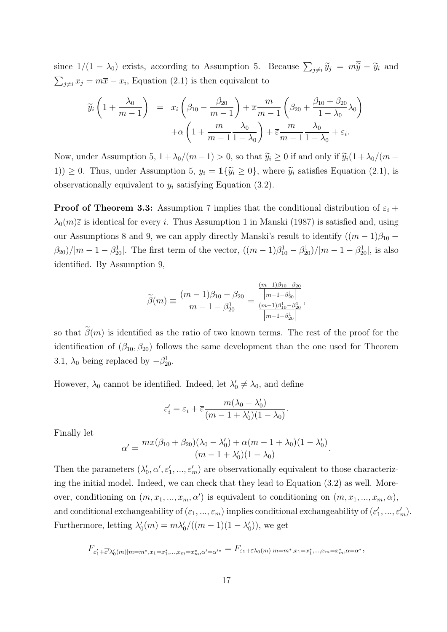since  $1/(1 - \lambda_0)$  exists, according to Assumption 5. Because  $\sum_{j \neq i} \tilde{y}_j = m\tilde{y} - \tilde{y}_i$  and  $\sum_{j\neq i} x_j = m\overline{x} - x_i$ , Equation (2.1) is then equivalent to

$$
\widetilde{y}_i\left(1+\frac{\lambda_0}{m-1}\right) = x_i\left(\beta_{10}-\frac{\beta_{20}}{m-1}\right) + \overline{x}\frac{m}{m-1}\left(\beta_{20}+\frac{\beta_{10}+\beta_{20}}{1-\lambda_0}\lambda_0\right) + \alpha\left(1+\frac{m}{m-1}\frac{\lambda_0}{1-\lambda_0}\right) + \overline{\varepsilon}\frac{m}{m-1}\frac{\lambda_0}{1-\lambda_0} + \varepsilon_i.
$$

Now, under Assumption 5,  $1 + \lambda_0/(m - 1) > 0$ , so that  $\widetilde{y}_i \ge 0$  if and only if  $\widetilde{y}_i(1 + \lambda_0/(m - 1))$ 1))  $\geq$  0. Thus, under Assumption 5,  $y_i = \mathbb{1}\{\tilde{y}_i \geq 0\}$ , where  $\tilde{y}_i$  satisfies Equation (2.1), is observationally equivalent to  $y_i$  satisfying Equation (3.2).

**Proof of Theorem 3.3:** Assumption 7 implies that the conditional distribution of  $\varepsilon_i$  +  $\lambda_0(m)\bar{\varepsilon}$  is identical for every i. Thus Assumption 1 in Manski (1987) is satisfied and, using our Assumptions 8 and 9, we can apply directly Manski's result to identify  $((m-1)\beta_{10}$  –  $(\beta_{20})/|m-1-\beta_{20}^1|$ . The first term of the vector,  $((m-1)\beta_{10}^1-\beta_{20}^1)/|m-1-\beta_{20}^1|$ , is also identified. By Assumption 9,

$$
\widetilde{\beta}(m) \equiv \frac{(m-1)\beta_{10} - \beta_{20}}{m-1 - \beta_{20}^1} = \frac{\frac{(m-1)\beta_{10} - \beta_{20}}{\left|m-1 - \beta_{20}^1\right|}}{\frac{(m-1)\beta_{10}^1 - \beta_{20}^1}{\left|m-1 - \beta_{20}^1\right|}},
$$

so that  $\tilde{\beta}(m)$  is identified as the ratio of two known terms. The rest of the proof for the identification of  $(\beta_{10}, \beta_{20})$  follows the same development than the one used for Theorem 3.1,  $\lambda_0$  being replaced by  $-\beta_{20}^1$ .

However,  $\lambda_0$  cannot be identified. Indeed, let  $\lambda'_0 \neq \lambda_0$ , and define

$$
\varepsilon_i' = \varepsilon_i + \overline{\varepsilon} \frac{m(\lambda_0 - \lambda_0')}{(m - 1 + \lambda_0')(1 - \lambda_0)}.
$$

Finally let

$$
\alpha' = \frac{m\overline{x}(\beta_{10} + \beta_{20})(\lambda_0 - \lambda'_0) + \alpha(m - 1 + \lambda_0)(1 - \lambda'_0)}{(m - 1 + \lambda'_0)(1 - \lambda_0)}.
$$

Then the parameters  $(\lambda'_0, \alpha', \varepsilon'_1, ..., \varepsilon'_m)$  are observationally equivalent to those characterizing the initial model. Indeed, we can check that they lead to Equation (3.2) as well. Moreover, conditioning on  $(m, x_1, ..., x_m, \alpha')$  is equivalent to conditioning on  $(m, x_1, ..., x_m, \alpha)$ , and conditional exchangeability of  $(\varepsilon_1, ..., \varepsilon_m)$  implies conditional exchangeability of  $(\varepsilon'_1, ..., \varepsilon'_m)$ . Furthermore, letting  $\lambda'_0(m) = m \lambda'_0/((m-1)(1-\lambda'_0))$ , we get

$$
F_{\varepsilon_1'+\overline{\varepsilon'}\lambda_0'(m)|m=m^*,x_1=x_1^*,\ldots,x_m=x_m^*,\alpha'=\alpha'^*}=F_{\varepsilon_1+\overline{\varepsilon}\lambda_0(m)|m=m^*,x_1=x_1^*,\ldots,x_m=x_m^*,\alpha=\alpha^*},
$$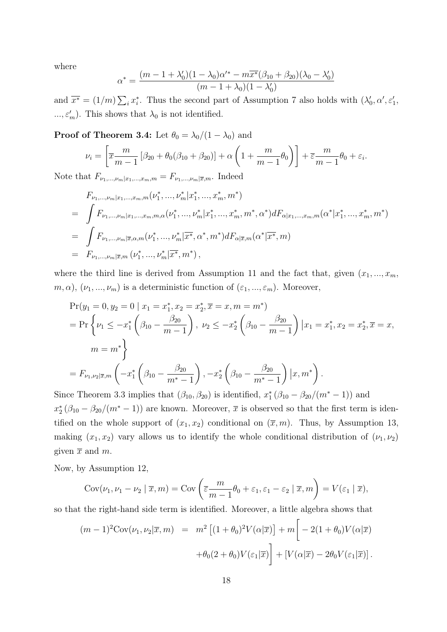where

$$
\alpha^* = \frac{(m - 1 + \lambda'_0)(1 - \lambda_0)\alpha'^* - m\overline{x^*}(\beta_{10} + \beta_{20})(\lambda_0 - \lambda'_0)}{(m - 1 + \lambda_0)(1 - \lambda'_0)}
$$

and  $\overline{x^*} = (1/m) \sum_i x_i^*$ . Thus the second part of Assumption 7 also holds with  $(\lambda'_0, \alpha', \varepsilon'_1, \ldots, \varepsilon'_n)$  $..., \varepsilon'_m$ ). This shows that  $\lambda_0$  is not identified.

**Proof of Theorem 3.4:** Let  $\theta_0 = \lambda_0/(1 - \lambda_0)$  and

$$
\nu_i = \left[ \overline{x} \frac{m}{m-1} \left[ \beta_{20} + \theta_0 (\beta_{10} + \beta_{20}) \right] + \alpha \left( 1 + \frac{m}{m-1} \theta_0 \right) \right] + \overline{\varepsilon} \frac{m}{m-1} \theta_0 + \varepsilon_i.
$$

Note that  $F_{\nu_1,...,\nu_m|x_1,...,x_m,m} = F_{\nu_1,...,\nu_m|\overline{x},m}$ . Indeed

$$
F_{\nu_1,\dots,\nu_m|x_1,\dots,x_m,m}(\nu_1^*,\dots,\nu_m^*|x_1^*,\dots,x_m^*,m^*)
$$
  
= 
$$
\int F_{\nu_1,\dots,\nu_m|x_1,\dots,x_m,m,\alpha}(\nu_1^*,\dots,\nu_m^*|x_1^*,\dots,x_m^*,m^*,\alpha^*)dF_{\alpha|x_1,\dots,x_m,m}(\alpha^*|x_1^*,\dots,x_m^*,m^*)
$$
  
= 
$$
\int F_{\nu_1,\dots,\nu_m|\overline{x},\alpha,m}(\nu_1^*,\dots,\nu_m^*|\overline{x^*},\alpha^*,m^*)dF_{\alpha|\overline{x},m}(\alpha^*|\overline{x^*},m)
$$
  
= 
$$
F_{\nu_1,\dots,\nu_m|\overline{x},m}(\nu_1^*,\dots,\nu_m^*|\overline{x^*},m^*)
$$
,

where the third line is derived from Assumption 11 and the fact that, given  $(x_1, ..., x_m)$ ,  $m, \alpha$ ,  $(\nu_1, ..., \nu_m)$  is a deterministic function of  $(\varepsilon_1, ..., \varepsilon_m)$ . Moreover,

$$
\Pr(y_1 = 0, y_2 = 0 \mid x_1 = x_1^*, x_2 = x_2^*, \overline{x} = x, m = m^*)
$$
\n
$$
= \Pr\left\{\nu_1 \le -x_1^* \left(\beta_{10} - \frac{\beta_{20}}{m-1}\right), \nu_2 \le -x_2^* \left(\beta_{10} - \frac{\beta_{20}}{m-1}\right) \mid x_1 = x_1^*, x_2 = x_2^*, \overline{x} = x,
$$
\n
$$
m = m^*\right\}
$$
\n
$$
= F_{\nu_1, \nu_2 | \overline{x}, m} \left(-x_1^* \left(\beta_{10} - \frac{\beta_{20}}{m^* - 1}\right), -x_2^* \left(\beta_{10} - \frac{\beta_{20}}{m^* - 1}\right) \mid x, m^*\right).
$$

Since Theorem 3.3 implies that  $(\beta_{10}, \beta_{20})$  is identified,  $x_1^* (\beta_{10} - \beta_{20}/(m^* - 1))$  and  $x_2^*(\beta_{10} - \beta_{20}/(m^*-1))$  are known. Moreover,  $\bar{x}$  is observed so that the first term is identified on the whole support of  $(x_1, x_2)$  conditional on  $(\overline{x}, m)$ . Thus, by Assumption 13, making  $(x_1, x_2)$  vary allows us to identify the whole conditional distribution of  $(\nu_1, \nu_2)$ given  $\bar{x}$  and  $m$ .

Now, by Assumption 12,

$$
Cov(\nu_1, \nu_1 - \nu_2 \mid \overline{x}, m) = Cov\left(\overline{\varepsilon} \frac{m}{m-1} \theta_0 + \varepsilon_1, \varepsilon_1 - \varepsilon_2 \mid \overline{x}, m\right) = V(\varepsilon_1 \mid \overline{x}),
$$

so that the right-hand side term is identified. Moreover, a little algebra shows that

$$
(m-1)^2 \text{Cov}(\nu_1, \nu_2 | \overline{x}, m) = m^2 \left[ (1+\theta_0)^2 V(\alpha | \overline{x}) \right] + m \left[ -2(1+\theta_0) V(\alpha | \overline{x}) +\theta_0 (2+\theta_0) V(\varepsilon_1 | \overline{x}) \right] + \left[ V(\alpha | \overline{x}) - 2\theta_0 V(\varepsilon_1 | \overline{x}) \right].
$$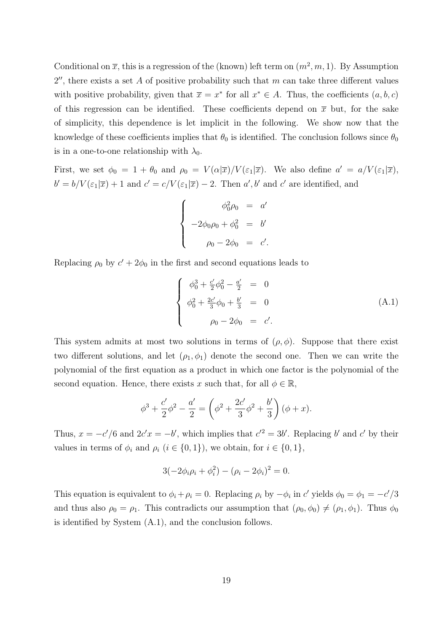Conditional on  $\bar{x}$ , this is a regression of the (known) left term on  $(m^2, m, 1)$ . By Assumption  $2''$ , there exists a set A of positive probability such that m can take three different values with positive probability, given that  $\overline{x} = x^*$  for all  $x^* \in A$ . Thus, the coefficients  $(a, b, c)$ of this regression can be identified. These coefficients depend on  $\bar{x}$  but, for the sake of simplicity, this dependence is let implicit in the following. We show now that the knowledge of these coefficients implies that  $\theta_0$  is identified. The conclusion follows since  $\theta_0$ is in a one-to-one relationship with  $\lambda_0$ .

First, we set  $\phi_0 = 1 + \theta_0$  and  $\rho_0 = V(\alpha|\overline{x})/V(\epsilon_1|\overline{x})$ . We also define  $a' = a/V(\epsilon_1|\overline{x})$ ,  $b' = b/V(\varepsilon_1|\overline{x}) + 1$  and  $c' = c/V(\varepsilon_1|\overline{x}) - 2$ . Then  $a', b'$  and  $c'$  are identified, and

$$
\begin{cases}\n\phi_0^2 \rho_0 = a' \\
-2\phi_0 \rho_0 + \phi_0^2 = b' \\
\rho_0 - 2\phi_0 = c'.\n\end{cases}
$$

Replacing  $\rho_0$  by  $c' + 2\phi_0$  in the first and second equations leads to

$$
\begin{cases}\n\phi_0^3 + \frac{c'}{2}\phi_0^2 - \frac{a'}{2} = 0 \\
\phi_0^2 + \frac{2c'}{3}\phi_0 + \frac{b'}{3} = 0 \\
\rho_0 - 2\phi_0 = c'.\n\end{cases} (A.1)
$$

This system admits at most two solutions in terms of  $(\rho, \phi)$ . Suppose that there exist two different solutions, and let  $(\rho_1, \phi_1)$  denote the second one. Then we can write the polynomial of the first equation as a product in which one factor is the polynomial of the second equation. Hence, there exists x such that, for all  $\phi \in \mathbb{R}$ ,

$$
\phi^3 + \frac{c'}{2}\phi^2 - \frac{a'}{2} = \left(\phi^2 + \frac{2c'}{3}\phi^2 + \frac{b'}{3}\right)(\phi + x).
$$

Thus,  $x = -c'/6$  and  $2c'x = -b'$ , which implies that  $c'^2 = 3b'$ . Replacing b' and c' by their values in terms of  $\phi_i$  and  $\rho_i$   $(i \in \{0,1\})$ , we obtain, for  $i \in \{0,1\}$ ,

$$
3(-2\phi_i \rho_i + \phi_i^2) - (\rho_i - 2\phi_i)^2 = 0.
$$

This equation is equivalent to  $\phi_i + \rho_i = 0$ . Replacing  $\rho_i$  by  $-\phi_i$  in c' yields  $\phi_0 = \phi_1 = -c'/3$ and thus also  $\rho_0 = \rho_1$ . This contradicts our assumption that  $(\rho_0, \phi_0) \neq (\rho_1, \phi_1)$ . Thus  $\phi_0$ is identified by System (A.1), and the conclusion follows.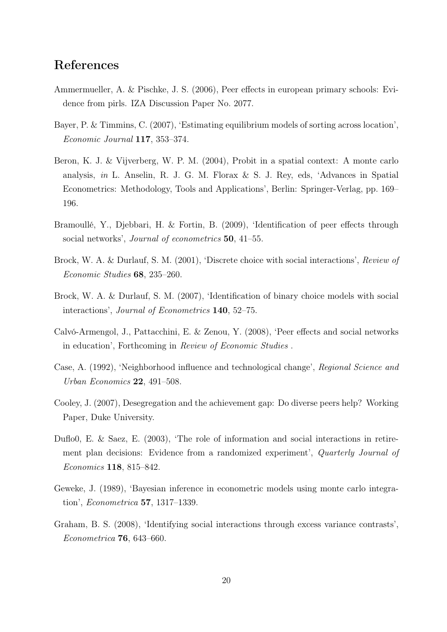# References

- Ammermueller, A. & Pischke, J. S. (2006), Peer effects in european primary schools: Evidence from pirls. IZA Discussion Paper No. 2077.
- Bayer, P. & Timmins, C. (2007), 'Estimating equilibrium models of sorting across location', Economic Journal 117, 353–374.
- Beron, K. J. & Vijverberg, W. P. M. (2004), Probit in a spatial context: A monte carlo analysis, in L. Anselin, R. J. G. M. Florax & S. J. Rey, eds, 'Advances in Spatial Econometrics: Methodology, Tools and Applications', Berlin: Springer-Verlag, pp. 169– 196.
- Bramoullé, Y., Djebbari, H. & Fortin, B. (2009), 'Identification of peer effects through social networks', *Journal of econometrics* **50**, 41–55.
- Brock, W. A. & Durlauf, S. M. (2001), 'Discrete choice with social interactions', Review of Economic Studies 68, 235–260.
- Brock, W. A. & Durlauf, S. M. (2007), 'Identification of binary choice models with social interactions', Journal of Econometrics 140, 52–75.
- Calvó-Armengol, J., Pattacchini, E. & Zenou, Y. (2008), 'Peer effects and social networks in education', Forthcoming in Review of Economic Studies .
- Case, A. (1992), 'Neighborhood influence and technological change', Regional Science and Urban Economics 22, 491–508.
- Cooley, J. (2007), Desegregation and the achievement gap: Do diverse peers help? Working Paper, Duke University.
- Duflo0, E. & Saez, E. (2003), 'The role of information and social interactions in retirement plan decisions: Evidence from a randomized experiment', Quarterly Journal of Economics 118, 815–842.
- Geweke, J. (1989), 'Bayesian inference in econometric models using monte carlo integration', Econometrica 57, 1317–1339.
- Graham, B. S. (2008), 'Identifying social interactions through excess variance contrasts', Econometrica 76, 643–660.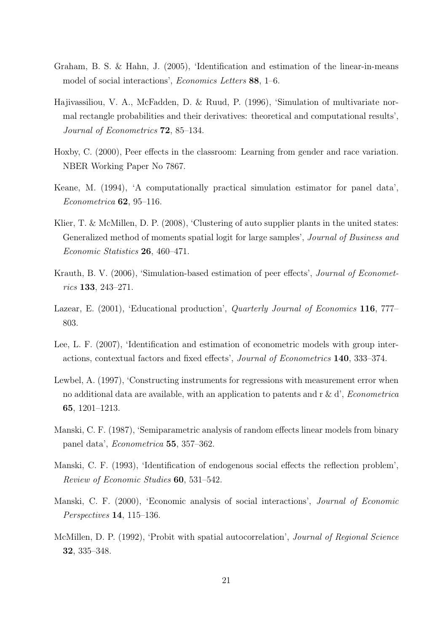- Graham, B. S. & Hahn, J. (2005), 'Identification and estimation of the linear-in-means model of social interactions', Economics Letters 88, 1–6.
- Hajivassiliou, V. A., McFadden, D. & Ruud, P. (1996), 'Simulation of multivariate normal rectangle probabilities and their derivatives: theoretical and computational results', Journal of Econometrics 72, 85–134.
- Hoxby, C. (2000), Peer effects in the classroom: Learning from gender and race variation. NBER Working Paper No 7867.
- Keane, M. (1994), 'A computationally practical simulation estimator for panel data', Econometrica 62, 95–116.
- Klier, T. & McMillen, D. P. (2008), 'Clustering of auto supplier plants in the united states: Generalized method of moments spatial logit for large samples', Journal of Business and Economic Statistics 26, 460–471.
- Krauth, B. V. (2006), 'Simulation-based estimation of peer effects', Journal of Econometrics 133, 243–271.
- Lazear, E. (2001), 'Educational production', *Quarterly Journal of Economics* 116, 777– 803.
- Lee, L. F. (2007), 'Identification and estimation of econometric models with group interactions, contextual factors and fixed effects', Journal of Econometrics 140, 333–374.
- Lewbel, A. (1997), 'Constructing instruments for regressions with measurement error when no additional data are available, with an application to patents and r & d', *Econometrica* 65, 1201–1213.
- Manski, C. F. (1987), 'Semiparametric analysis of random effects linear models from binary panel data', Econometrica 55, 357–362.
- Manski, C. F. (1993), 'Identification of endogenous social effects the reflection problem', Review of Economic Studies 60, 531–542.
- Manski, C. F. (2000), 'Economic analysis of social interactions', Journal of Economic Perspectives 14, 115–136.
- McMillen, D. P. (1992), 'Probit with spatial autocorrelation', *Journal of Regional Science* 32, 335–348.